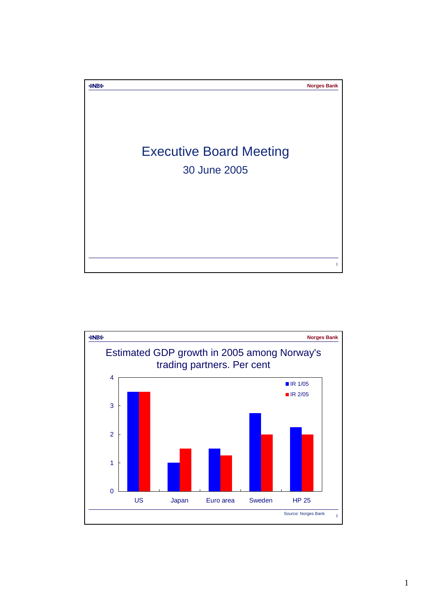

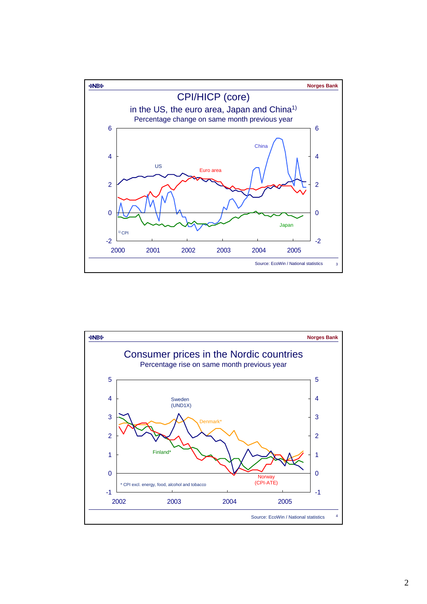

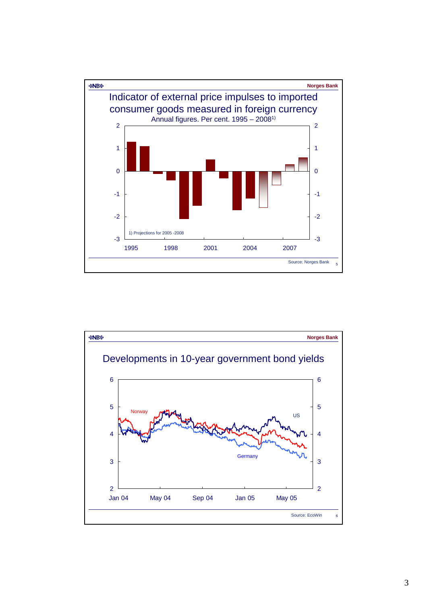

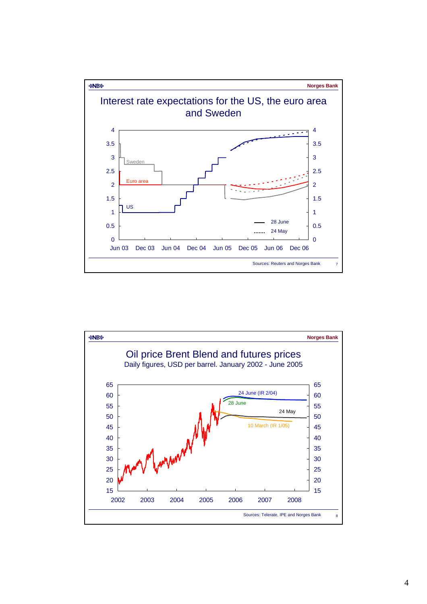

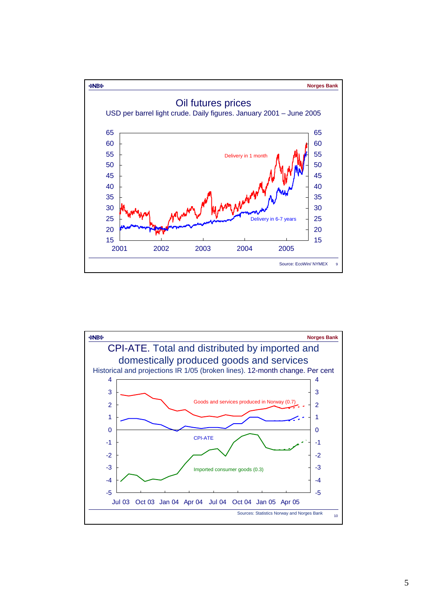

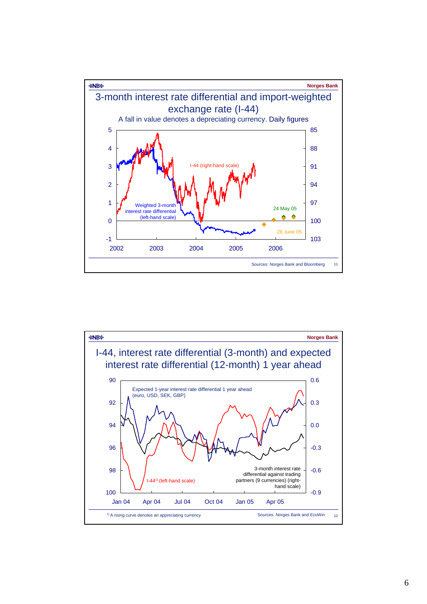

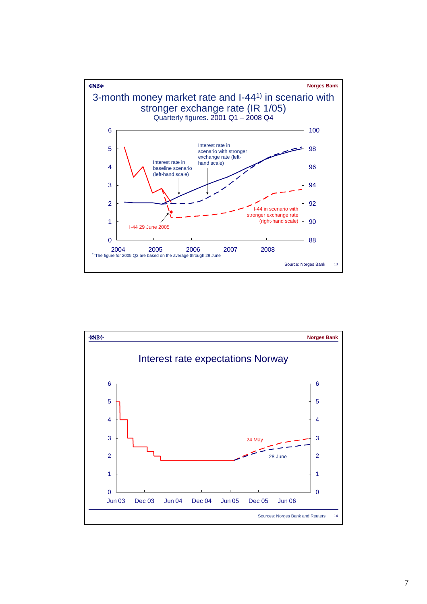

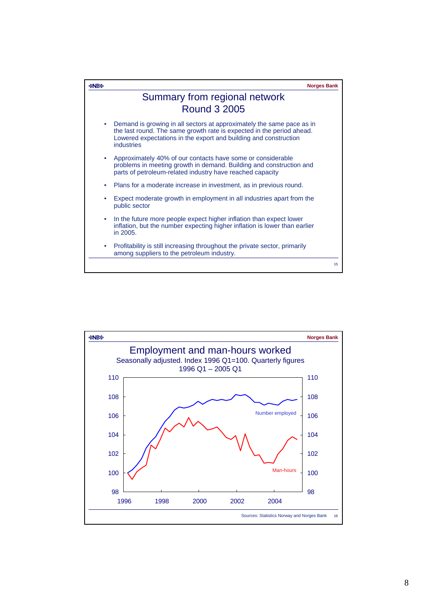

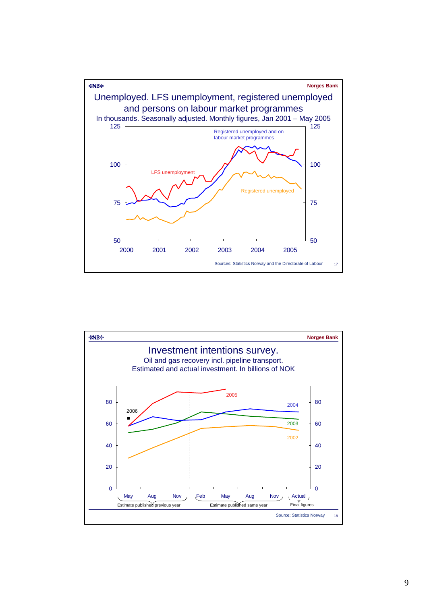

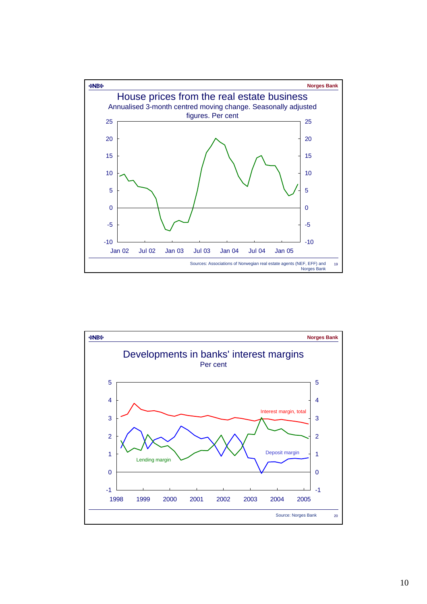